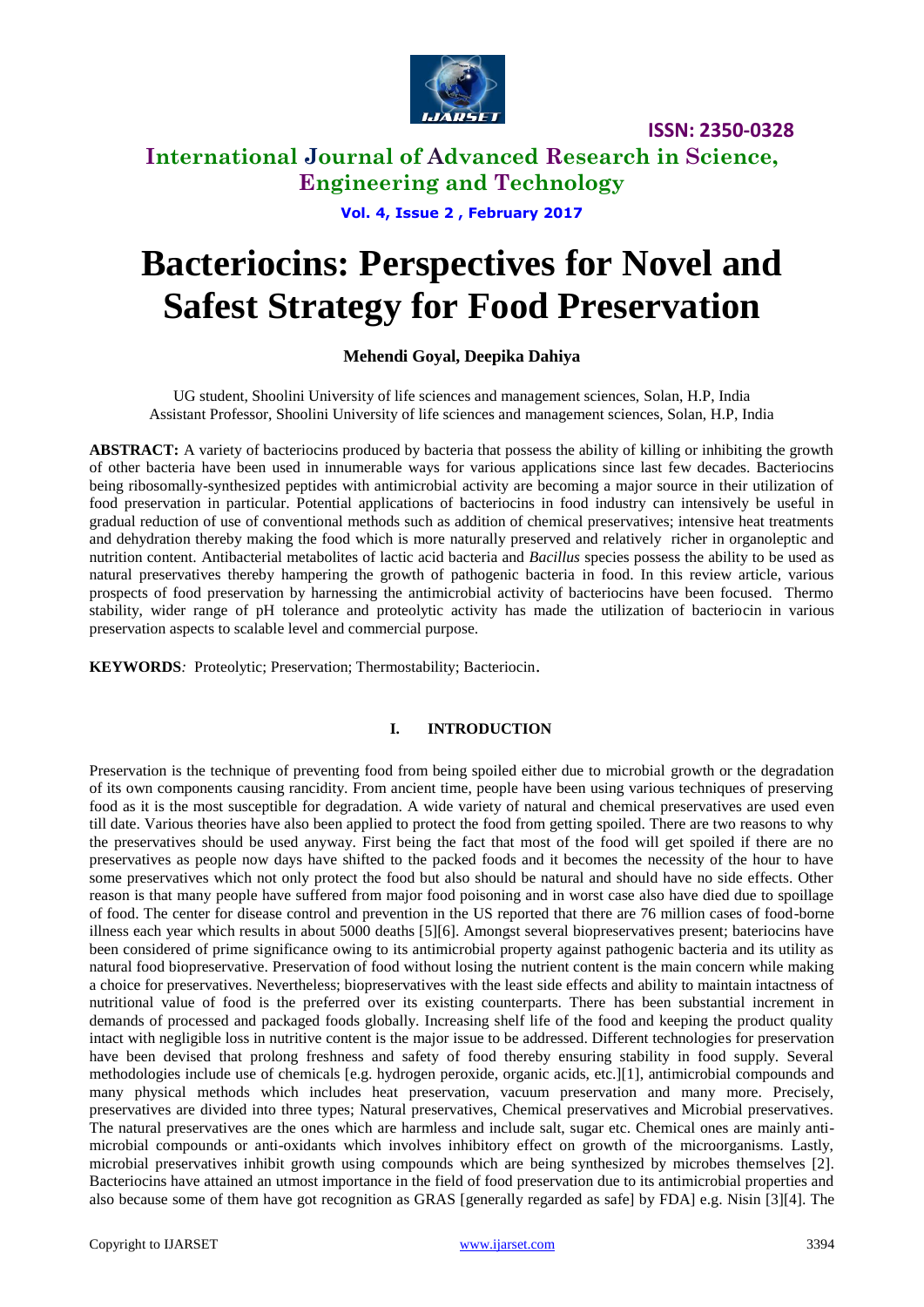

# **International Journal of Advanced Research in Science, Engineering and Technology**

**Vol. 4, Issue 2 , February 2017**

# **Bacteriocins: Perspectives for Novel and Safest Strategy for Food Preservation**

### **Mehendi Goyal, Deepika Dahiya**

UG student, Shoolini University of life sciences and management sciences, Solan, H.P, India Assistant Professor, Shoolini University of life sciences and management sciences, Solan, H.P, India

ABSTRACT: A variety of bacteriocins produced by bacteria that possess the ability of killing or inhibiting the growth of other bacteria have been used in innumerable ways for various applications since last few decades. Bacteriocins being ribosomally-synthesized peptides with antimicrobial activity are becoming a major source in their utilization of food preservation in particular. Potential applications of bacteriocins in food industry can intensively be useful in gradual reduction of use of conventional methods such as addition of chemical preservatives; intensive heat treatments and dehydration thereby making the food which is more naturally preserved and relatively richer in organoleptic and nutrition content. Antibacterial metabolites of lactic acid bacteria and *Bacillus* species possess the ability to be used as natural preservatives thereby hampering the growth of pathogenic bacteria in food. In this review article, various prospects of food preservation by harnessing the antimicrobial activity of bacteriocins have been focused. Thermo stability, wider range of pH tolerance and proteolytic activity has made the utilization of bacteriocin in various preservation aspects to scalable level and commercial purpose.

**KEYWORDS***:* Proteolytic; Preservation; Thermostability; Bacteriocin.

### **I. INTRODUCTION**

Preservation is the technique of preventing food from being spoiled either due to microbial growth or the degradation of its own components causing rancidity. From ancient time, people have been using various techniques of preserving food as it is the most susceptible for degradation. A wide variety of natural and chemical preservatives are used even till date. Various theories have also been applied to protect the food from getting spoiled. There are two reasons to why the preservatives should be used anyway. First being the fact that most of the food will get spoiled if there are no preservatives as people now days have shifted to the packed foods and it becomes the necessity of the hour to have some preservatives which not only protect the food but also should be natural and should have no side effects. Other reason is that many people have suffered from major food poisoning and in worst case also have died due to spoillage of food. The center for disease control and prevention in the US reported that there are 76 million cases of food-borne illness each year which results in about 5000 deaths [5][6]. Amongst several biopreservatives present; bateriocins have been considered of prime significance owing to its antimicrobial property against pathogenic bacteria and its utility as natural food biopreservative. Preservation of food without losing the nutrient content is the main concern while making a choice for preservatives. Nevertheless; biopreservatives with the least side effects and ability to maintain intactness of nutritional value of food is the preferred over its existing counterparts. There has been substantial increment in demands of processed and packaged foods globally. Increasing shelf life of the food and keeping the product quality intact with negligible loss in nutritive content is the major issue to be addressed. Different technologies for preservation have been devised that prolong freshness and safety of food thereby ensuring stability in food supply. Several methodologies include use of chemicals [e.g. hydrogen peroxide, organic acids, etc.][1], antimicrobial compounds and many physical methods which includes heat preservation, vacuum preservation and many more. Precisely, preservatives are divided into three types; Natural preservatives, Chemical preservatives and Microbial preservatives. The natural preservatives are the ones which are harmless and include salt, sugar etc. Chemical ones are mainly antimicrobial compounds or anti-oxidants which involves inhibitory effect on growth of the microorganisms. Lastly, microbial preservatives inhibit growth using compounds which are being synthesized by microbes themselves [2]. Bacteriocins have attained an utmost importance in the field of food preservation due to its antimicrobial properties and also because some of them have got recognition as GRAS [generally regarded as safe] by FDA] e.g. Nisin [3][4]. The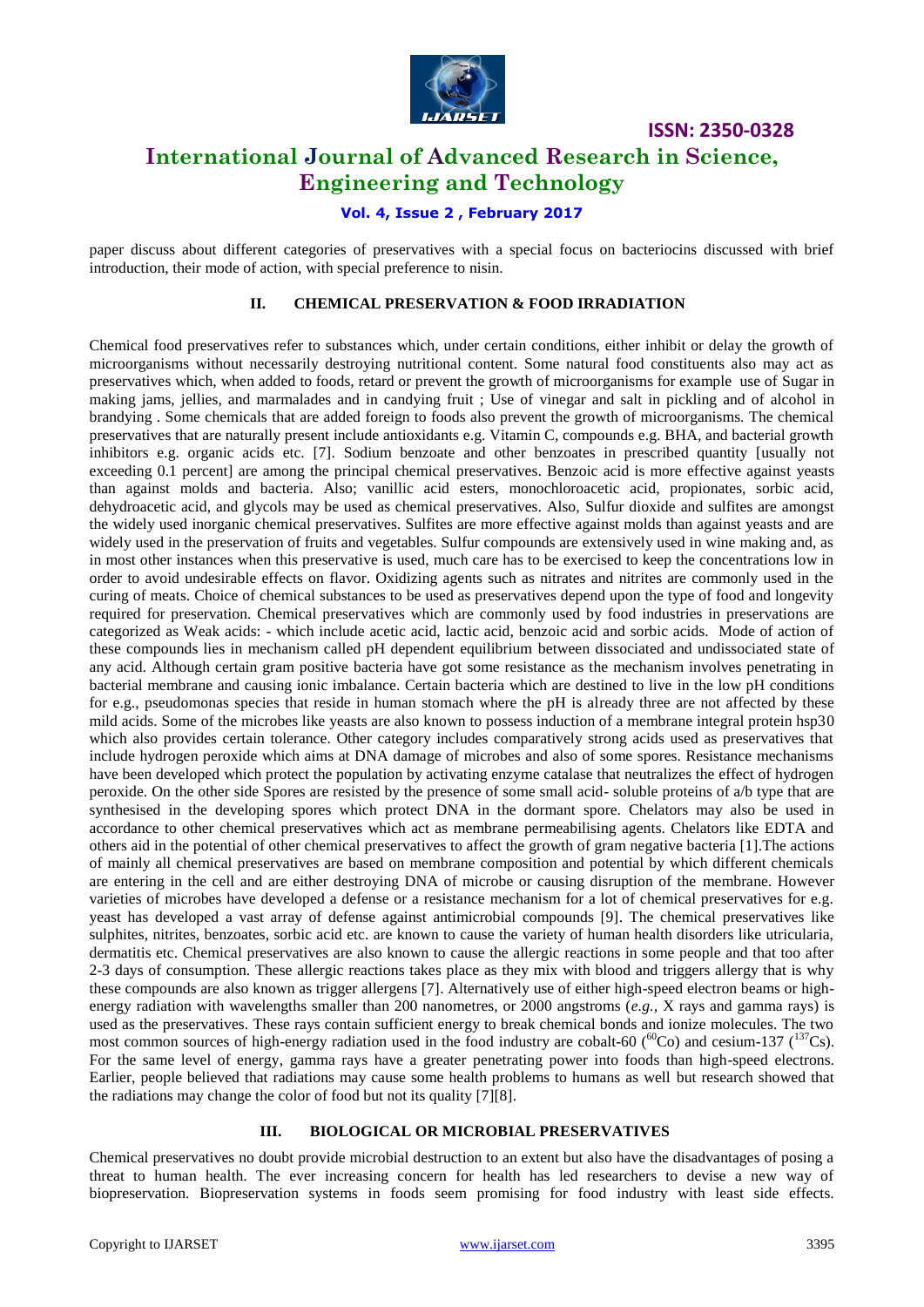

### **International Journal of Advanced Research in Science, Engineering and Technology**

### **Vol. 4, Issue 2 , February 2017**

paper discuss about different categories of preservatives with a special focus on bacteriocins discussed with brief introduction, their mode of action, with special preference to nisin.

### **II. CHEMICAL PRESERVATION & FOOD IRRADIATION**

Chemical food preservatives refer to substances which, under certain conditions, either inhibit or delay the growth of microorganisms without necessarily destroying nutritional content. Some natural food constituents also may act as preservatives which, when added to foods, retard or prevent the growth of microorganisms for example use of [Sugar](http://www.britannica.com/EBchecked/topic/571880/sugar) in making jams, jellies, and marmalades and in candying fruit ; Use of [vinegar](http://www.britannica.com/EBchecked/topic/629450/vinegar) and [salt](http://www.britannica.com/EBchecked/topic/519712/salt-NaCl) in pickling and of [alcohol](http://www.britannica.com/EBchecked/topic/13366/alcohol) in brandying . Some chemicals that are added foreign to foods also prevent the growth of microorganisms. The chemical preservatives that are naturally present include antioxidants e.g. Vitamin C, compounds e.g. BHA, and bacterial growth inhibitors e.g. organic acids etc. [7]. [Sodium benzoate](http://www.britannica.com/EBchecked/topic/552153/sodium-benzoate) and other benzoates in prescribed quantity [usually not exceeding 0.1 percent] are among the principal chemical preservatives. Benzoic acid is more effective against yeasts than against molds and bacteria. Also; vanillic acid esters, monochloroacetic acid, propionates, sorbic acid, dehydroacetic acid, and glycols may be used as chemical preservatives. Also, [Sulfur dioxide](http://www.britannica.com/EBchecked/topic/572748/sulfur-dioxide) and [sulfites](http://www.britannica.com/EBchecked/topic/572556/sulfite) are amongst the widely used inorganic chemical preservatives. Sulfites are more effective against molds than against yeasts and are widely used in the preservation of fruits and vegetables. Sulfur compounds are extensively used in wine making and, as in most other instances when this preservative is used, much care has to be exercised to keep the concentrations low in order to avoid undesirable effects on flavor. Oxidizing agents such as nitrates and nitrites are commonly used in the curing of meats. Choice of chemical substances to be used as preservatives depend upon the type of food and longevity required for preservation. Chemical preservatives which are commonly used by food industries in preservations are categorized as Weak acids: - which include acetic acid, lactic acid, benzoic acid and sorbic acids. Mode of action of these compounds lies in mechanism called pH dependent equilibrium between dissociated and undissociated state of any acid. Although certain gram positive bacteria have got some resistance as the mechanism involves penetrating in bacterial membrane and causing ionic imbalance. Certain bacteria which are destined to live in the low pH conditions for e.g., pseudomonas species that reside in human stomach where the pH is already three are not affected by these mild acids. Some of the microbes like yeasts are also known to possess induction of a membrane integral protein hsp30 which also provides certain tolerance. Other category includes comparatively strong acids used as preservatives that include hydrogen peroxide which aims at DNA damage of microbes and also of some spores. Resistance mechanisms have been developed which protect the population by activating enzyme catalase that neutralizes the effect of hydrogen peroxide. On the other side Spores are resisted by the presence of some small acid- soluble proteins of a/b type that are synthesised in the developing spores which protect DNA in the dormant spore. Chelators may also be used in accordance to other chemical preservatives which act as membrane permeabilising agents. Chelators like EDTA and others aid in the potential of other chemical preservatives to affect the growth of gram negative bacteria [1].The actions of mainly all chemical preservatives are based on membrane composition and potential by which different chemicals are entering in the cell and are either destroying DNA of microbe or causing disruption of the membrane. However varieties of microbes have developed a defense or a resistance mechanism for a lot of chemical preservatives for e.g. yeast has developed a vast array of defense against antimicrobial compounds [9]. The chemical preservatives like sulphites, nitrites, benzoates, sorbic acid etc. are known to cause the variety of human health disorders like utricularia, dermatitis etc. Chemical preservatives are also known to cause the allergic reactions in some people and that too after 2-3 days of consumption. These allergic reactions takes place as they mix with blood and triggers allergy that is why these compounds are also known as trigger allergens [7]. Alternatively use of either high-speed electron beams or highenergy radiation with wavelengths smaller than 200 nanometres, or 2000 angstroms (*e.g.,* X rays and gamma rays) is used as the preservatives. These rays contain sufficient energy to break chemical bonds and ionize molecules. The two most common sources of high-energy radiation used in the food industry are cobalt-60 ( ${}^{60}$ Co) and cesium-137 ( ${}^{137}$ Cs). For the same level of energy, gamma rays have a greater penetrating power into foods than high-speed electrons. Earlier, people believed that radiations may cause some health problems to humans as well but research showed that the radiations may change the color of food but not its quality [7][8].

#### **III. BIOLOGICAL OR MICROBIAL PRESERVATIVES**

Chemical preservatives no doubt provide microbial destruction to an extent but also have the disadvantages of posing a threat to human health. The ever increasing concern for health has led researchers to devise a new way of biopreservation. Biopreservation systems in foods seem promising for food industry with least side effects.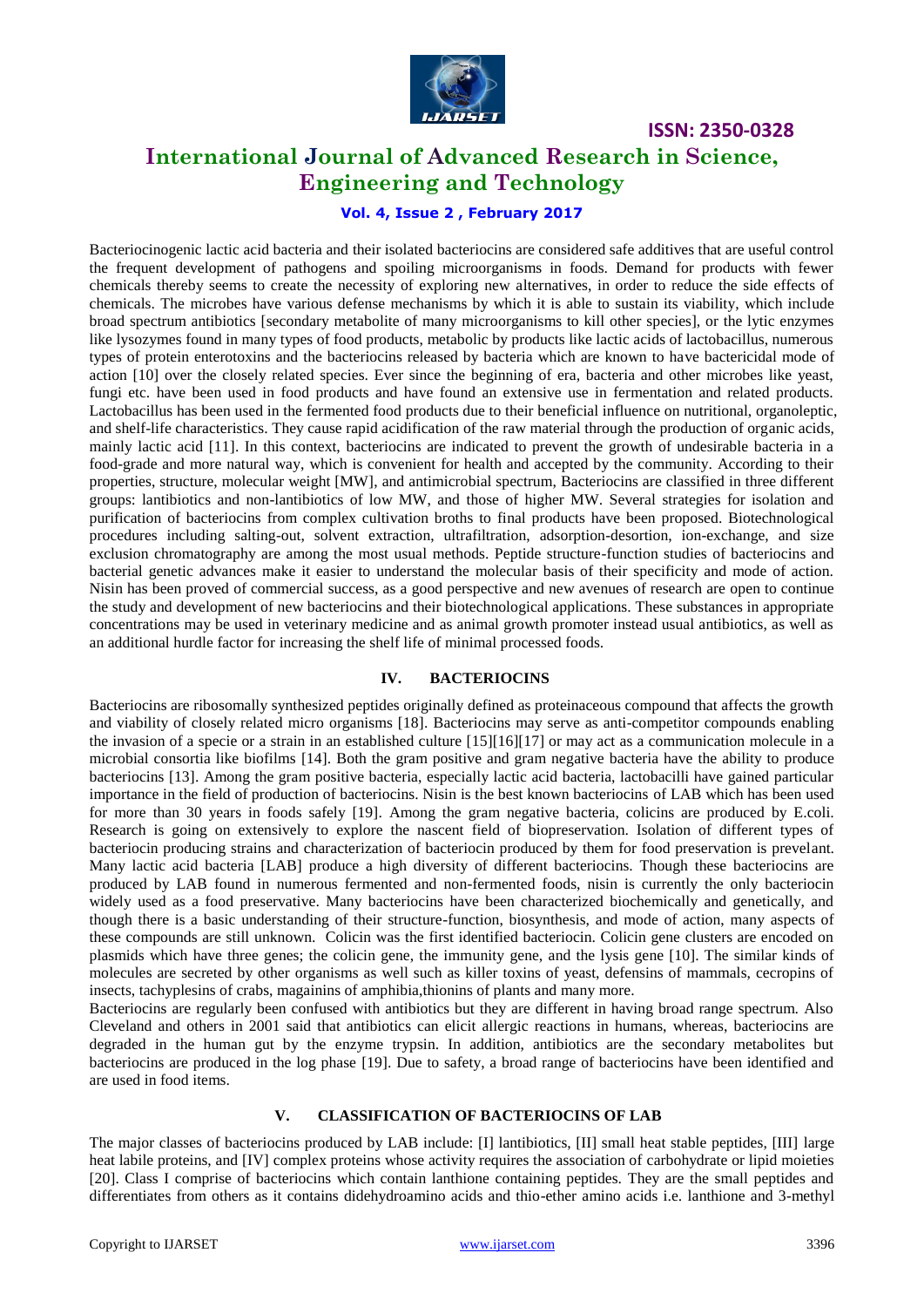

### **International Journal of Advanced Research in Science, Engineering and Technology**

### **Vol. 4, Issue 2 , February 2017**

Bacteriocinogenic lactic acid bacteria and their isolated bacteriocins are considered safe additives that are useful control the frequent development of pathogens and spoiling microorganisms in foods. Demand for products with fewer chemicals thereby seems to create the necessity of exploring new alternatives, in order to reduce the side effects of chemicals. The microbes have various defense mechanisms by which it is able to sustain its viability, which include broad spectrum antibiotics [secondary metabolite of many microorganisms to kill other species], or the lytic enzymes like lysozymes found in many types of food products, metabolic by products like lactic acids of lactobacillus, numerous types of protein enterotoxins and the bacteriocins released by bacteria which are known to have bactericidal mode of action [10] over the closely related species. Ever since the beginning of era, bacteria and other microbes like yeast, fungi etc. have been used in food products and have found an extensive use in fermentation and related products. Lactobacillus has been used in the fermented food products due to their beneficial influence on nutritional, organoleptic, and shelf-life characteristics. They cause rapid acidification of the raw material through the production of organic acids, mainly lactic acid [11]. In this context, bacteriocins are indicated to prevent the growth of undesirable bacteria in a food-grade and more natural way, which is convenient for health and accepted by the community. According to their properties, structure, molecular weight [MW], and antimicrobial spectrum, Bacteriocins are classified in three different groups: lantibiotics and non-lantibiotics of low MW, and those of higher MW. Several strategies for isolation and purification of bacteriocins from complex cultivation broths to final products have been proposed. Biotechnological procedures including salting-out, solvent extraction, ultrafiltration, adsorption-desortion, ion-exchange, and size exclusion chromatography are among the most usual methods. Peptide structure-function studies of bacteriocins and bacterial genetic advances make it easier to understand the molecular basis of their specificity and mode of action. Nisin has been proved of commercial success, as a good perspective and new avenues of research are open to continue the study and development of new bacteriocins and their biotechnological applications. These substances in appropriate concentrations may be used in veterinary medicine and as animal growth promoter instead usual antibiotics, as well as an additional hurdle factor for increasing the shelf life of minimal processed foods.

### **IV. BACTERIOCINS**

Bacteriocins are ribosomally synthesized peptides originally defined as proteinaceous compound that affects the growth and viability of closely related micro organisms [18]. Bacteriocins may serve as anti-competitor compounds enabling the invasion of a specie or a strain in an established culture [15][16][17] or may act as a communication molecule in a microbial consortia like biofilms [14]. Both the gram positive and gram negative bacteria have the ability to produce bacteriocins [13]. Among the gram positive bacteria, especially lactic acid bacteria, lactobacilli have gained particular importance in the field of production of bacteriocins. Nisin is the best known bacteriocins of LAB which has been used for more than 30 years in foods safely [19]. Among the gram negative bacteria, colicins are produced by E.coli. Research is going on extensively to explore the nascent field of biopreservation. Isolation of different types of bacteriocin producing strains and characterization of bacteriocin produced by them for food preservation is prevelant. Many lactic acid bacteria [LAB] produce a high diversity of different bacteriocins. Though these bacteriocins are produced by LAB found in numerous fermented and non-fermented foods, nisin is currently the only bacteriocin widely used as a food preservative. Many bacteriocins have been characterized biochemically and genetically, and though there is a basic understanding of their structure-function, biosynthesis, and mode of action, many aspects of these compounds are still unknown. Colicin was the first identified bacteriocin. Colicin gene clusters are encoded on plasmids which have three genes; the colicin gene, the immunity gene, and the lysis gene [10]. The similar kinds of molecules are secreted by other organisms as well such as killer toxins of yeast, defensins of mammals, cecropins of insects, tachyplesins of crabs, magainins of amphibia,thionins of plants and many more.

Bacteriocins are regularly been confused with antibiotics but they are different in having broad range spectrum. Also Cleveland and others in 2001 said that antibiotics can elicit allergic reactions in humans, whereas, bacteriocins are degraded in the human gut by the enzyme trypsin. In addition, antibiotics are the secondary metabolites but bacteriocins are produced in the log phase [19]. Due to safety, a broad range of bacteriocins have been identified and are used in food items.

### **V. CLASSIFICATION OF BACTERIOCINS OF LAB**

The major classes of bacteriocins produced by LAB include: [I] lantibiotics, [II] small heat stable peptides, [III] large heat labile proteins, and [IV] complex proteins whose activity requires the association of carbohydrate or lipid moieties [20]. Class I comprise of bacteriocins which contain lanthione containing peptides. They are the small peptides and differentiates from others as it contains didehydroamino acids and thio-ether amino acids i.e. lanthione and 3-methyl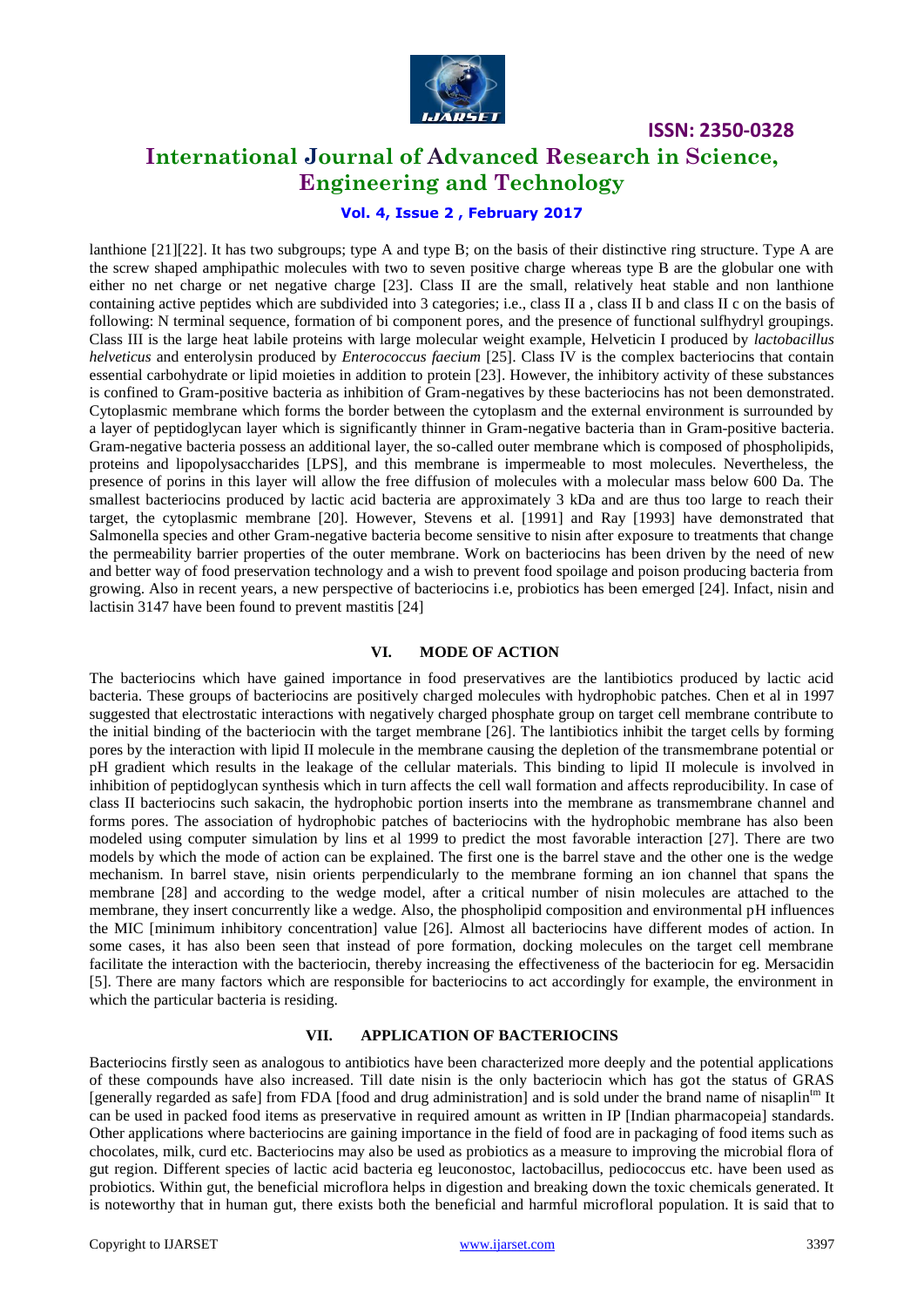

### **International Journal of Advanced Research in Science, Engineering and Technology**

### **Vol. 4, Issue 2 , February 2017**

lanthione [21][22]. It has two subgroups; type A and type B; on the basis of their distinctive ring structure. Type A are the screw shaped amphipathic molecules with two to seven positive charge whereas type B are the globular one with either no net charge or net negative charge [23]. Class II are the small, relatively heat stable and non lanthione containing active peptides which are subdivided into 3 categories; i.e., class II a , class II b and class II c on the basis of following: N terminal sequence, formation of bi component pores, and the presence of functional sulfhydryl groupings. Class III is the large heat labile proteins with large molecular weight example, Helveticin I produced by *lactobacillus helveticus* and enterolysin produced by *Enterococcus faecium* [25]. Class IV is the complex bacteriocins that contain essential carbohydrate or lipid moieties in addition to protein [23]. However, the inhibitory activity of these substances is confined to Gram-positive bacteria as inhibition of Gram-negatives by these bacteriocins has not been demonstrated. Cytoplasmic membrane which forms the border between the cytoplasm and the external environment is surrounded by a layer of peptidoglycan layer which is significantly thinner in Gram-negative bacteria than in Gram-positive bacteria. Gram-negative bacteria possess an additional layer, the so-called outer membrane which is composed of phospholipids, proteins and lipopolysaccharides [LPS], and this membrane is impermeable to most molecules. Nevertheless, the presence of porins in this layer will allow the free diffusion of molecules with a molecular mass below 600 Da. The smallest bacteriocins produced by lactic acid bacteria are approximately 3 kDa and are thus too large to reach their target, the cytoplasmic membrane [20]. However, Stevens et al. [1991] and Ray [1993] have demonstrated that Salmonella species and other Gram-negative bacteria become sensitive to nisin after exposure to treatments that change the permeability barrier properties of the outer membrane. Work on bacteriocins has been driven by the need of new and better way of food preservation technology and a wish to prevent food spoilage and poison producing bacteria from growing. Also in recent years, a new perspective of bacteriocins i.e, probiotics has been emerged [24]. Infact, nisin and lactisin 3147 have been found to prevent mastitis [24]

#### **VI. MODE OF ACTION**

The bacteriocins which have gained importance in food preservatives are the lantibiotics produced by lactic acid bacteria. These groups of bacteriocins are positively charged molecules with hydrophobic patches. Chen et al in 1997 suggested that electrostatic interactions with negatively charged phosphate group on target cell membrane contribute to the initial binding of the bacteriocin with the target membrane [26]. The lantibiotics inhibit the target cells by forming pores by the interaction with lipid II molecule in the membrane causing the depletion of the transmembrane potential or pH gradient which results in the leakage of the cellular materials. This binding to lipid II molecule is involved in inhibition of peptidoglycan synthesis which in turn affects the cell wall formation and affects reproducibility. In case of class II bacteriocins such sakacin, the hydrophobic portion inserts into the membrane as transmembrane channel and forms pores. The association of hydrophobic patches of bacteriocins with the hydrophobic membrane has also been modeled using computer simulation by lins et al 1999 to predict the most favorable interaction [27]. There are two models by which the mode of action can be explained. The first one is the barrel stave and the other one is the wedge mechanism. In barrel stave, nisin orients perpendicularly to the membrane forming an ion channel that spans the membrane [28] and according to the wedge model, after a critical number of nisin molecules are attached to the membrane, they insert concurrently like a wedge. Also, the phospholipid composition and environmental pH influences the MIC [minimum inhibitory concentration] value [26]. Almost all bacteriocins have different modes of action. In some cases, it has also been seen that instead of pore formation, docking molecules on the target cell membrane facilitate the interaction with the bacteriocin, thereby increasing the effectiveness of the bacteriocin for eg. Mersacidin [5]. There are many factors which are responsible for bacteriocins to act accordingly for example, the environment in which the particular bacteria is residing.

#### **VII. APPLICATION OF BACTERIOCINS**

Bacteriocins firstly seen as analogous to antibiotics have been characterized more deeply and the potential applications of these compounds have also increased. Till date nisin is the only bacteriocin which has got the status of GRAS [generally regarded as safe] from FDA [food and drug administration] and is sold under the brand name of nisaplin<sup>tm</sup> It can be used in packed food items as preservative in required amount as written in IP [Indian pharmacopeia] standards. Other applications where bacteriocins are gaining importance in the field of food are in packaging of food items such as chocolates, milk, curd etc. Bacteriocins may also be used as probiotics as a measure to improving the microbial flora of gut region. Different species of lactic acid bacteria eg leuconostoc, lactobacillus, pediococcus etc. have been used as probiotics. Within gut, the beneficial microflora helps in digestion and breaking down the toxic chemicals generated. It is noteworthy that in human gut, there exists both the beneficial and harmful microfloral population. It is said that to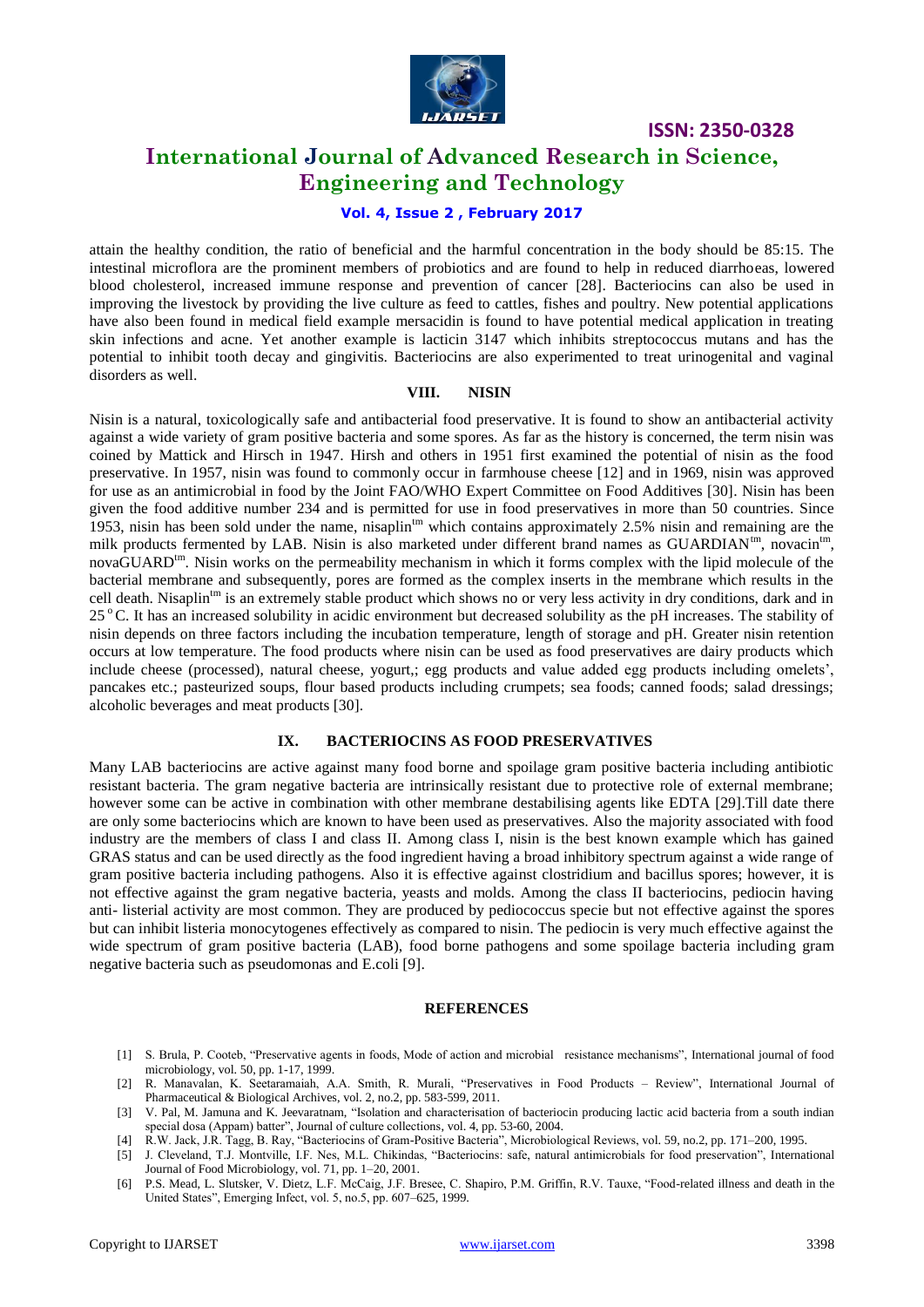

# **International Journal of Advanced Research in Science, Engineering and Technology**

### **Vol. 4, Issue 2 , February 2017**

attain the healthy condition, the ratio of beneficial and the harmful concentration in the body should be 85:15. The intestinal microflora are the prominent members of probiotics and are found to help in reduced diarrhoeas, lowered blood cholesterol, increased immune response and prevention of cancer [28]. Bacteriocins can also be used in improving the livestock by providing the live culture as feed to cattles, fishes and poultry. New potential applications have also been found in medical field example mersacidin is found to have potential medical application in treating skin infections and acne. Yet another example is lacticin 3147 which inhibits streptococcus mutans and has the potential to inhibit tooth decay and gingivitis. Bacteriocins are also experimented to treat urinogenital and vaginal disorders as well.

#### **VIII. NISIN**

Nisin is a natural, toxicologically safe and antibacterial food preservative. It is found to show an antibacterial activity against a wide variety of gram positive bacteria and some spores. As far as the history is concerned, the term nisin was coined by Mattick and Hirsch in 1947. Hirsh and others in 1951 first examined the potential of nisin as the food preservative. In 1957, nisin was found to commonly occur in farmhouse cheese [12] and in 1969, nisin was approved for use as an antimicrobial in food by the Joint FAO/WHO Expert Committee on Food Additives [30]. Nisin has been given the food additive number 234 and is permitted for use in food preservatives in more than 50 countries. Since 1953, nisin has been sold under the name, nisaplin<sup>tm</sup> which contains approximately 2.5% nisin and remaining are the milk products fermented by LAB. Nisin is also marketed under different brand names as GUARDIAN<sup>tm</sup>, novacin<sup>tm</sup>, novaGUARD<sup>tm</sup>. Nisin works on the permeability mechanism in which it forms complex with the lipid molecule of the bacterial membrane and subsequently, pores are formed as the complex inserts in the membrane which results in the cell death. Nisaplin<sup>tm</sup> is an extremely stable product which shows no or very less activity in dry conditions, dark and in 25 °C. It has an increased solubility in acidic environment but decreased solubility as the pH increases. The stability of nisin depends on three factors including the incubation temperature, length of storage and pH. Greater nisin retention occurs at low temperature. The food products where nisin can be used as food preservatives are dairy products which include cheese (processed), natural cheese, yogurt,; egg products and value added egg products including omelets', pancakes etc.; pasteurized soups, flour based products including crumpets; sea foods; canned foods; salad dressings; alcoholic beverages and meat products [30].

#### **IX. BACTERIOCINS AS FOOD PRESERVATIVES**

Many LAB bacteriocins are active against many food borne and spoilage gram positive bacteria including antibiotic resistant bacteria. The gram negative bacteria are intrinsically resistant due to protective role of external membrane; however some can be active in combination with other membrane destabilising agents like EDTA [29]. Till date there are only some bacteriocins which are known to have been used as preservatives. Also the majority associated with food industry are the members of class I and class II. Among class I, nisin is the best known example which has gained GRAS status and can be used directly as the food ingredient having a broad inhibitory spectrum against a wide range of gram positive bacteria including pathogens. Also it is effective against clostridium and bacillus spores; however, it is not effective against the gram negative bacteria, yeasts and molds. Among the class II bacteriocins, pediocin having anti- listerial activity are most common. They are produced by pediococcus specie but not effective against the spores but can inhibit listeria monocytogenes effectively as compared to nisin. The pediocin is very much effective against the wide spectrum of gram positive bacteria (LAB), food borne pathogens and some spoilage bacteria including gram negative bacteria such as pseudomonas and E.coli [9].

#### **REFERENCES**

- [1] S. Brula, P. Cooteb, "Preservative agents in foods, Mode of action and microbial resistance mechanisms", International journal of food microbiology, vol. 50, pp. 1-17, 1999.
- [2] R. Manavalan, K. Seetaramaiah, A.A. Smith, R. Murali, "Preservatives in Food Products Review", International Journal of Pharmaceutical & Biological Archives, vol. 2, no.2, pp. 583-599, 2011.
- [3] V. Pal, M. Jamuna and K. Jeevaratnam, "Isolation and characterisation of bacteriocin producing lactic acid bacteria from a south indian special dosa (Appam) batter", Journal of culture collections, vol. 4, pp. 53-60, 2004.
- [4] R.W. Jack, J.R. Tagg, B. Ray, "Bacteriocins of Gram-Positive Bacteria", Microbiological Reviews, vol. 59, no.2, pp. 171–200, 1995.
- [5] J. Cleveland, T.J. Montville, I.F. Nes, M.L. Chikindas, "Bacteriocins: safe, natural antimicrobials for food preservation", International Journal of Food Microbiology, vol. 71, pp. 1–20, 2001.
- [6] P.S. Mead, L. Slutsker, V. Dietz, L.F. McCaig, J.F. Bresee, C. Shapiro, P.M. Griffin, R.V. Tauxe, "Food-related illness and death in the United States", Emerging Infect, vol. 5, no.5, pp. 607–625, 1999.